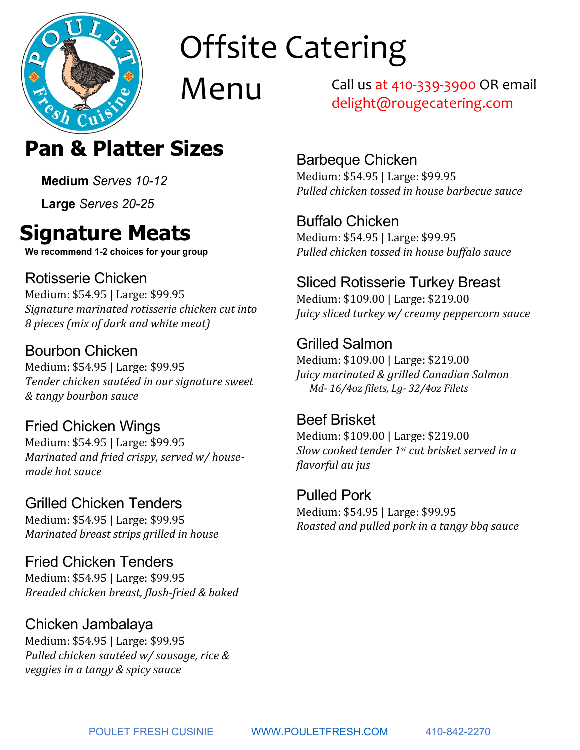

Menu

Call us at 410-339-3900 OR email delight@rougecatering.com

### **Offsite Catering Menu Pan & Platter Sizes**

**Medium** *Serves 10-12*

**Large** *Serves 20-25*

## **Signature Meats**

**We recommend 1-2 choices for your group**

### Rotisserie Chicken

Medium: \$54.95 | Large: \$99.95 *Signature marinated rotisserie chicken cut into 8 pieces (mix of dark and white meat)*

### Bourbon Chicken

Medium: \$54.95 | Large: \$99.95 *Tender chicken sautéed in our signature sweet & tangy bourbon sauce*

Fried Chicken Wings Medium: \$54.95 | Large: \$99.95 *Marinated and fried crispy, served w/ housemade hot sauce*

Grilled Chicken Tenders Medium: \$54.95 | Large: \$99.95 *Marinated breast strips grilled in house*

Fried Chicken Tenders Medium: \$54.95 | Large: \$99.95 *Breaded chicken breast, flash-fried & baked*

#### Chicken Jambalaya

Medium: \$54.95 | Large: \$99.95 *Pulled chicken sautéed w/ sausage, rice & veggies in a tangy & spicy sauce*

Barbeque Chicken

Medium: \$54.95 | Large: \$99.95 *Pulled chicken tossed in house barbecue sauce*

Buffalo Chicken Medium: \$54.95 | Large: \$99.95 *Pulled chicken tossed in house buffalo sauce*

#### Sliced Rotisserie Turkey Breast

Medium: \$109.00 | Large: \$219.00 *Juicy sliced turkey w/ creamy peppercorn sauce*

Grilled Salmon Medium: \$109.00 | Large: \$219.00 *Juicy marinated & grilled Canadian Salmon Md- 16/4oz filets, Lg- 32/4oz Filets*

Beef Brisket Medium: \$109.00 | Large: \$219.00 *Slow cooked tender 1st cut brisket served in a flavorful au jus*

Pulled Pork Medium: \$54.95 | Large: \$99.95 *Roasted and pulled pork in a tangy bbq sauce*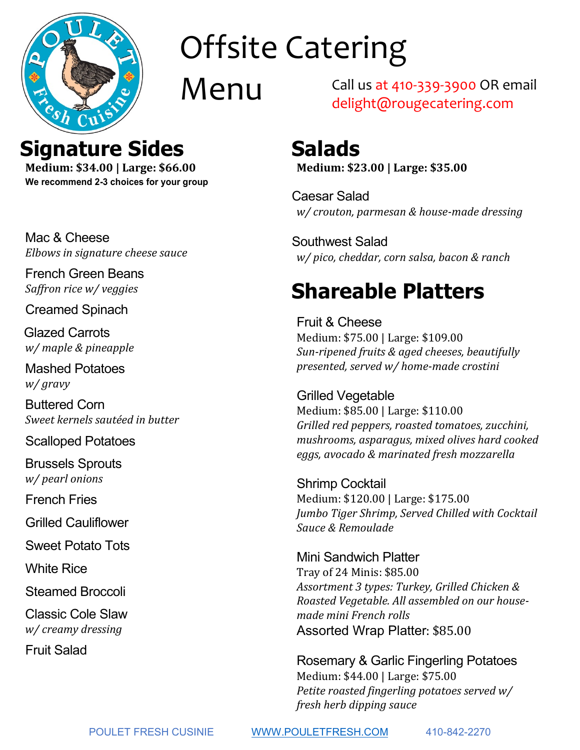

Menu

Call us at 410-339-3900 OR email delight@rougecatering.com

### **Offsite Catering Salads**

**Medium: \$23.00 | Large: \$35.00**

Caesar Salad *w/ crouton, parmesan & house-made dressing*

Southwest Salad *w/ pico, cheddar, corn salsa, bacon & ranch* 

## **Shareable Platters**

Fruit & Cheese Medium: \$75.00 | Large: \$109.00 *Sun-ripened fruits & aged cheeses, beautifully presented, served w/ home-made crostini*

Grilled Vegetable Medium: \$85.00 | Large: \$110.00 *Grilled red peppers, roasted tomatoes, zucchini, mushrooms, asparagus, mixed olives hard cooked eggs, avocado & marinated fresh mozzarella*

Shrimp Cocktail Medium: \$120.00 | Large: \$175.00 *Jumbo Tiger Shrimp, Served Chilled with Cocktail Sauce & Remoulade*

Mini Sandwich Platter Tray of 24 Minis: \$85.00 *Assortment 3 types: Turkey, Grilled Chicken & Roasted Vegetable. All assembled on our housemade mini French rolls*  Assorted Wrap Platter: \$85.00

Rosemary & Garlic Fingerling Potatoes Medium: \$44.00 | Large: \$75.00 *Petite roasted fingerling potatoes served w/ fresh herb dipping sauce*

**Signature Sides**

**10**<br>*Menup* **Medium: \$34.00 | Large: \$66.00 We recommend 2-3 choices for your group**

Mac & Cheese *Elbows in signature cheese sauce*

French Green Beans *Saffron rice w/ veggies*

Creamed Spinach

Glazed Carrots *w/ maple & pineapple*

Mashed Potatoes *w/ gravy*

Buttered Corn *Sweet kernels sautéed in butter*

Scalloped Potatoes

Brussels Sprouts *w/ pearl onions*

French Fries

Grilled Cauliflower

Sweet Potato Tots

White Rice

Steamed Broccoli

Classic Cole Slaw *w/ creamy dressing*

Fruit Salad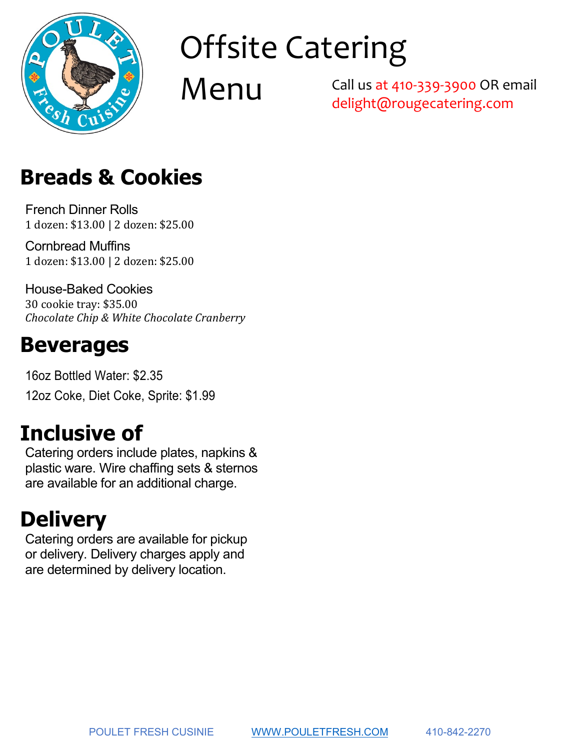

Menu

Call us at 410-339-3900 OR email delight@rougecatering.com

# **Menu Breads & Cookies**

French Dinner Rolls 1 dozen: \$13.00 | 2 dozen: \$25.00

Cornbread Muffins 1 dozen: \$13.00 | 2 dozen: \$25.00

House-Baked Cookies 30 cookie tray: \$35.00 *Chocolate Chip & White Chocolate Cranberry*

### **Beverages**

16oz Bottled Water: \$2.35 12oz Coke, Diet Coke, Sprite: \$1.99

## **Inclusive of**

Catering orders include plates, napkins & plastic ware. Wire chaffing sets & sternos are available for an additional charge.

## **Delivery**

Catering orders are available for pickup or delivery. Delivery charges apply and are determined by delivery location.